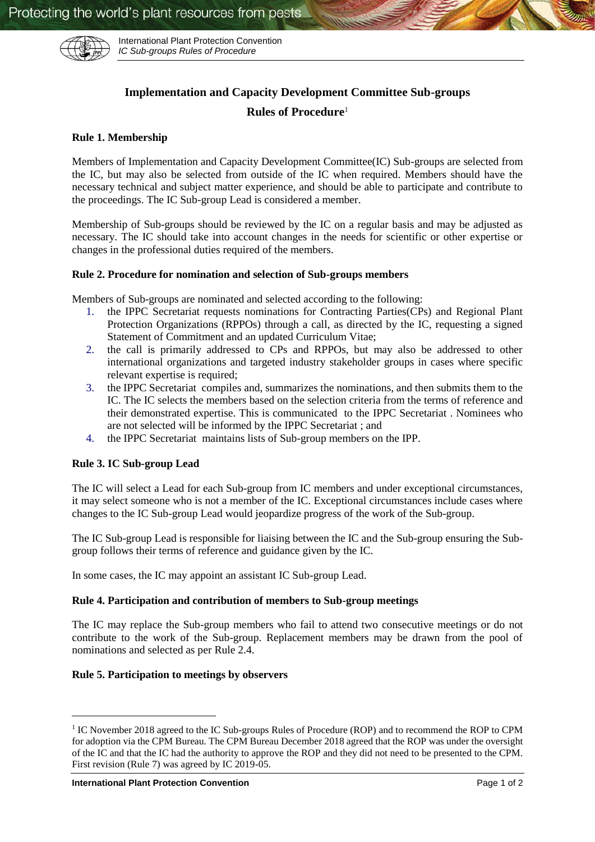

International Plant Protection Convention *IC Sub-groups Rules of Procedure*

# **Implementation and Capacity Development Committee Sub-groups**

## **Rules of Procedure**<sup>1</sup>

#### **Rule 1. Membership**

Members of Implementation and Capacity Development Committee(IC) Sub-groups are selected from the IC, but may also be selected from outside of the IC when required. Members should have the necessary technical and subject matter experience, and should be able to participate and contribute to the proceedings. The IC Sub-group Lead is considered a member.

Membership of Sub-groups should be reviewed by the IC on a regular basis and may be adjusted as necessary. The IC should take into account changes in the needs for scientific or other expertise or changes in the professional duties required of the members.

#### **Rule 2. Procedure for nomination and selection of Sub-groups members**

Members of Sub-groups are nominated and selected according to the following:

- 1. the IPPC Secretariat requests nominations for Contracting Parties(CPs) and Regional Plant Protection Organizations (RPPOs) through a call, as directed by the IC, requesting a signed Statement of Commitment and an updated Curriculum Vitae;
- 2. the call is primarily addressed to CPs and RPPOs, but may also be addressed to other international organizations and targeted industry stakeholder groups in cases where specific relevant expertise is required;
- 3. the IPPC Secretariat compiles and, summarizes the nominations, and then submits them to the IC. The IC selects the members based on the selection criteria from the terms of reference and their demonstrated expertise. This is communicated to the IPPC Secretariat . Nominees who are not selected will be informed by the IPPC Secretariat ; and
- 4. the IPPC Secretariat maintains lists of Sub-group members on the IPP.

### **Rule 3. IC Sub-group Lead**

The IC will select a Lead for each Sub-group from IC members and under exceptional circumstances, it may select someone who is not a member of the IC. Exceptional circumstances include cases where changes to the IC Sub-group Lead would jeopardize progress of the work of the Sub-group.

The IC Sub-group Lead is responsible for liaising between the IC and the Sub-group ensuring the Subgroup follows their terms of reference and guidance given by the IC.

In some cases, the IC may appoint an assistant IC Sub-group Lead.

### **Rule 4. Participation and contribution of members to Sub-group meetings**

The IC may replace the Sub-group members who fail to attend two consecutive meetings or do not contribute to the work of the Sub-group. Replacement members may be drawn from the pool of nominations and selected as per Rule 2.4.

### **Rule 5. Participation to meetings by observers**

-

<sup>&</sup>lt;sup>1</sup> IC November 2018 agreed to the IC Sub-groups Rules of Procedure (ROP) and to recommend the ROP to CPM for adoption via the CPM Bureau. The CPM Bureau December 2018 agreed that the ROP was under the oversight of the IC and that the IC had the authority to approve the ROP and they did not need to be presented to the CPM. First revision (Rule 7) was agreed by IC 2019-05.